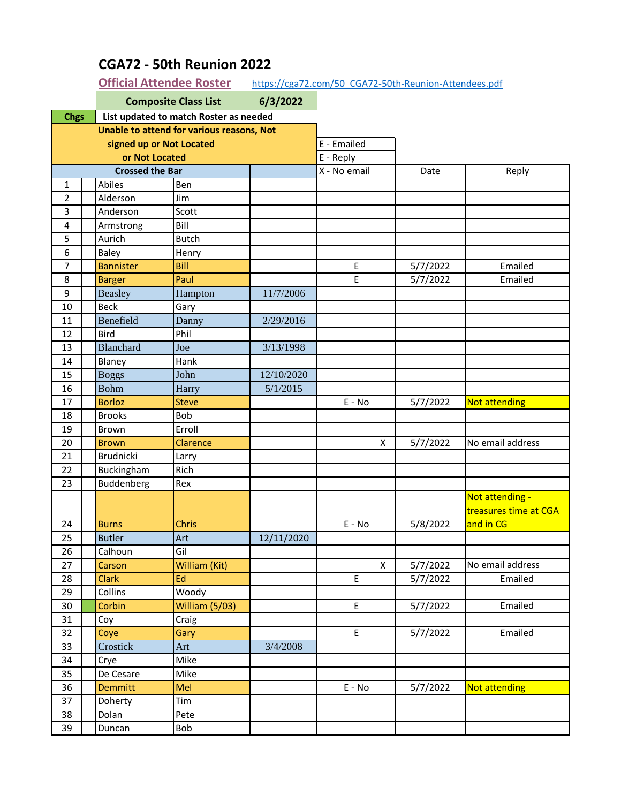|                          |  | <b>Composite Class List</b><br>6/3/2022 |                                           |            |                                            |          |                                                       |
|--------------------------|--|-----------------------------------------|-------------------------------------------|------------|--------------------------------------------|----------|-------------------------------------------------------|
| <b>Chgs</b>              |  |                                         | List updated to match Roster as needed    |            |                                            |          |                                                       |
|                          |  |                                         | Unable to attend for various reasons, Not |            |                                            |          |                                                       |
| signed up or Not Located |  |                                         |                                           |            | E - Emailed                                |          |                                                       |
| or Not Located           |  |                                         |                                           |            | E - Reply                                  |          |                                                       |
|                          |  | <b>Crossed the Bar</b>                  |                                           |            | X - No email                               | Date     | Reply                                                 |
| 1                        |  | Abiles                                  | Ben                                       |            |                                            |          |                                                       |
| $\overline{2}$           |  | Alderson                                | Jim                                       |            |                                            |          |                                                       |
| 3                        |  | Anderson                                | Scott                                     |            |                                            |          |                                                       |
| 4                        |  | Armstrong                               | Bill                                      |            |                                            |          |                                                       |
| 5                        |  | Aurich                                  | <b>Butch</b>                              |            |                                            |          |                                                       |
| 6                        |  | Baley                                   | Henry                                     |            |                                            |          |                                                       |
| 7                        |  | <b>Bannister</b>                        | Bill                                      |            | E                                          | 5/7/2022 | Emailed                                               |
| 8                        |  | <b>Barger</b>                           | Paul                                      |            | E                                          | 5/7/2022 | Emailed                                               |
| 9                        |  | <b>Beasley</b>                          | Hampton                                   | 11/7/2006  |                                            |          |                                                       |
| 10                       |  | <b>Beck</b>                             | Gary                                      |            |                                            |          |                                                       |
| 11                       |  | Benefield                               | Danny                                     | 2/29/2016  |                                            |          |                                                       |
| 12                       |  | Bird                                    | Phil                                      |            |                                            |          |                                                       |
| 13                       |  | <b>Blanchard</b>                        | Joe                                       | 3/13/1998  |                                            |          |                                                       |
| 14                       |  | Blaney                                  | Hank                                      |            |                                            |          |                                                       |
| 15                       |  | <b>Boggs</b>                            | John                                      | 12/10/2020 |                                            |          |                                                       |
| 16                       |  | <b>Bohm</b>                             | Harry                                     | 5/1/2015   |                                            |          |                                                       |
| 17                       |  | <b>Borloz</b>                           | <b>Steve</b>                              |            | $E - No$                                   | 5/7/2022 | Not attending                                         |
| 18                       |  | <b>Brooks</b>                           | Bob                                       |            |                                            |          |                                                       |
| 19                       |  | Brown                                   | Erroll                                    |            |                                            |          |                                                       |
| 20                       |  | <b>Brown</b>                            | Clarence                                  |            | X                                          | 5/7/2022 | No email address                                      |
| 21                       |  | <b>Brudnicki</b>                        | Larry                                     |            |                                            |          |                                                       |
| 22                       |  | Buckingham                              | Rich                                      |            |                                            |          |                                                       |
| 23                       |  | Buddenberg                              | Rex                                       |            |                                            |          |                                                       |
| 24                       |  | <b>Burns</b>                            | <b>Chris</b>                              |            | E - No                                     | 5/8/2022 | Not attending -<br>treasures time at CGA<br>and in CG |
| 25                       |  | <b>Butler</b>                           | Art                                       | 12/11/2020 |                                            |          |                                                       |
| 26                       |  | Calhoun                                 | Gil                                       |            |                                            |          |                                                       |
| 27                       |  | Carson                                  | William (Kit)                             |            | $\pmb{\mathsf{X}}$                         | 5/7/2022 | No email address                                      |
| 28                       |  | <b>Clark</b>                            | Ed                                        |            | $\mathsf{E}% _{0}\left( \mathsf{E}\right)$ | 5/7/2022 | Emailed                                               |
| 29                       |  | Collins                                 | Woody                                     |            |                                            |          |                                                       |
| 30                       |  | Corbin                                  | William (5/03)                            |            | E                                          | 5/7/2022 | Emailed                                               |
| 31                       |  | Coy                                     | Craig                                     |            |                                            |          |                                                       |
| 32                       |  | Coye                                    | Gary                                      |            | $\mathsf{E}$                               | 5/7/2022 | Emailed                                               |
| 33                       |  | Crostick                                | Art                                       | 3/4/2008   |                                            |          |                                                       |
| 34                       |  | Crye                                    | Mike                                      |            |                                            |          |                                                       |
| 35                       |  | De Cesare                               | Mike                                      |            |                                            |          |                                                       |
| 36                       |  | <b>Demmitt</b>                          | Mel                                       |            | $E - No$                                   | 5/7/2022 | Not attending                                         |
| 37                       |  | Doherty                                 | Tim                                       |            |                                            |          |                                                       |
| 38                       |  | Dolan                                   | Pete                                      |            |                                            |          |                                                       |
| 39                       |  | Duncan                                  | Bob                                       |            |                                            |          |                                                       |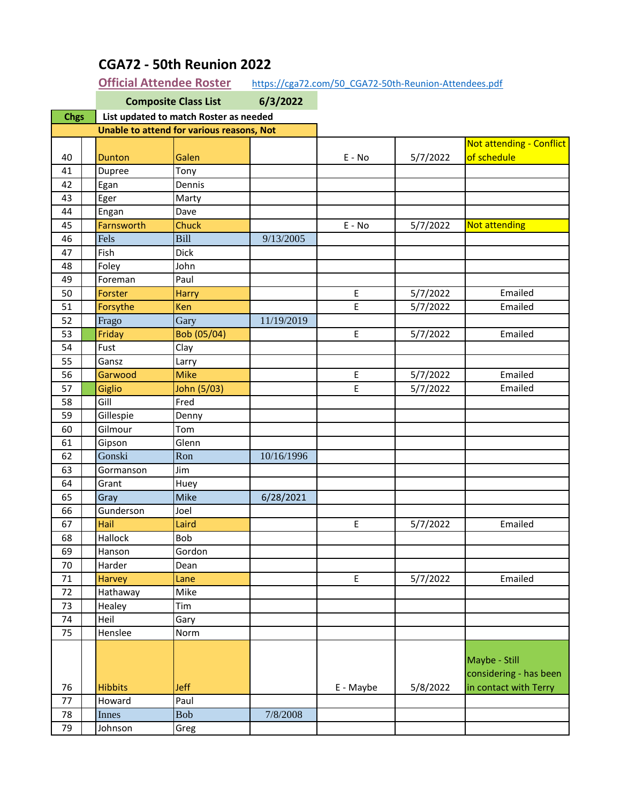| <b>Chgs</b><br>List updated to match Roster as needed |            |           |          |                                                                  |
|-------------------------------------------------------|------------|-----------|----------|------------------------------------------------------------------|
| Unable to attend for various reasons, Not             |            |           |          |                                                                  |
|                                                       |            |           |          | Not attending - Conflict                                         |
| 40<br>Galen<br>Dunton                                 |            | $E - No$  | 5/7/2022 | of schedule                                                      |
| Tony<br>41<br>Dupree                                  |            |           |          |                                                                  |
| 42<br>Dennis<br>Egan                                  |            |           |          |                                                                  |
| 43<br>Eger<br>Marty                                   |            |           |          |                                                                  |
| 44<br>Dave<br>Engan                                   |            |           |          |                                                                  |
| Farnsworth<br><b>Chuck</b><br>45                      |            | $E - No$  | 5/7/2022 | <b>Not attending</b>                                             |
| Bill<br>46<br>Fels                                    | 9/13/2005  |           |          |                                                                  |
| Fish<br><b>Dick</b><br>47                             |            |           |          |                                                                  |
| 48<br>Foley<br>John                                   |            |           |          |                                                                  |
| 49<br>Foreman<br>Paul                                 |            |           |          |                                                                  |
| 50<br>Forster<br><b>Harry</b>                         |            | E         | 5/7/2022 | Emailed                                                          |
| 51<br>Forsythe<br>Ken                                 |            | E         | 5/7/2022 | Emailed                                                          |
| 52<br>Frago<br>Gary                                   | 11/19/2019 |           |          |                                                                  |
| 53<br>Friday<br>Bob (05/04)                           |            | E         | 5/7/2022 | Emailed                                                          |
| 54<br>Fust<br>Clay                                    |            |           |          |                                                                  |
| 55<br>Gansz<br>Larry                                  |            |           |          |                                                                  |
| <b>Mike</b><br>Garwood<br>56                          |            | E         | 5/7/2022 | Emailed                                                          |
| 57<br>John (5/03)<br>Giglio                           |            | E         | 5/7/2022 | Emailed                                                          |
| Gill<br>58<br>Fred                                    |            |           |          |                                                                  |
| 59<br>Gillespie<br>Denny                              |            |           |          |                                                                  |
| 60<br>Gilmour<br>Tom                                  |            |           |          |                                                                  |
| 61<br>Gipson<br>Glenn                                 |            |           |          |                                                                  |
| Gonski<br>Ron<br>62                                   | 10/16/1996 |           |          |                                                                  |
| 63<br>Jim<br>Gormanson                                |            |           |          |                                                                  |
| 64<br>Grant<br>Huey                                   |            |           |          |                                                                  |
| <b>Mike</b><br>65<br>Gray                             | 6/28/2021  |           |          |                                                                  |
| 66<br>Gunderson<br>Joel                               |            |           |          |                                                                  |
| Hail<br>Laird<br>67                                   |            | E         | 5/7/2022 | Emailed                                                          |
| 68<br>Hallock<br>Bob                                  |            |           |          |                                                                  |
| Hanson<br>Gordon<br>69                                |            |           |          |                                                                  |
| 70<br>Harder<br>Dean                                  |            |           |          |                                                                  |
| <b>Harvey</b><br>71<br>Lane                           |            | E         | 5/7/2022 | Emailed                                                          |
| 72<br>Mike<br>Hathaway                                |            |           |          |                                                                  |
| 73<br>Tim<br>Healey                                   |            |           |          |                                                                  |
| 74<br>Heil<br>Gary                                    |            |           |          |                                                                  |
| 75<br>Henslee<br>Norm                                 |            |           |          |                                                                  |
| <b>Jeff</b><br>76<br><b>Hibbits</b>                   |            | E - Maybe | 5/8/2022 | Maybe - Still<br>considering - has been<br>in contact with Terry |
| Paul<br>77<br>Howard                                  |            |           |          |                                                                  |
| 78<br>Innes<br><b>Bob</b>                             | 7/8/2008   |           |          |                                                                  |
| 79<br>Johnson<br>Greg                                 |            |           |          |                                                                  |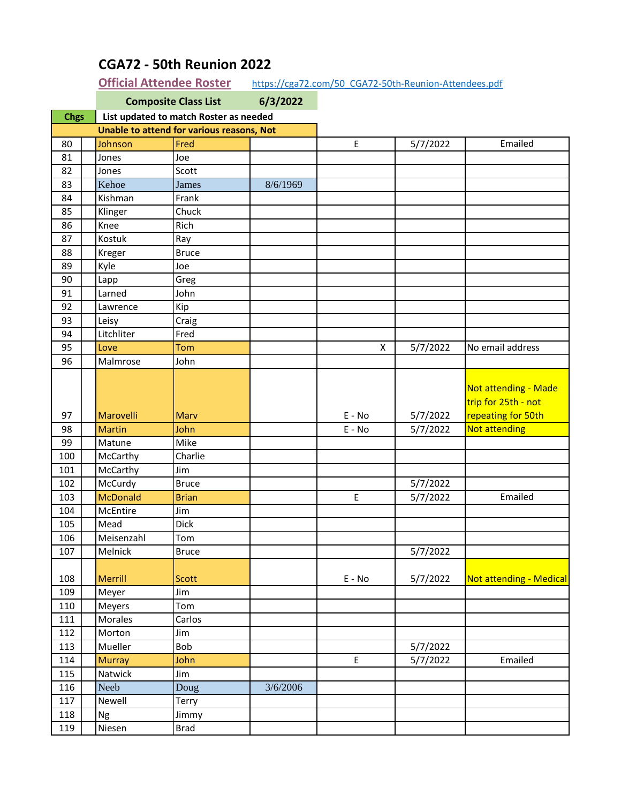|                                           |                                        | <b>Composite Class List</b> | 6/3/2022 |                                            |          |                                                                   |  |
|-------------------------------------------|----------------------------------------|-----------------------------|----------|--------------------------------------------|----------|-------------------------------------------------------------------|--|
| <b>Chgs</b>                               | List updated to match Roster as needed |                             |          |                                            |          |                                                                   |  |
| Unable to attend for various reasons, Not |                                        |                             |          |                                            |          |                                                                   |  |
| 80                                        | Johnson                                | Fred                        |          | $\mathsf{E}% _{0}\left( \mathsf{E}\right)$ | 5/7/2022 | Emailed                                                           |  |
| 81                                        | Jones                                  | Joe                         |          |                                            |          |                                                                   |  |
| 82                                        | Jones                                  | Scott                       |          |                                            |          |                                                                   |  |
| 83                                        | Kehoe                                  | James                       | 8/6/1969 |                                            |          |                                                                   |  |
| 84                                        | Kishman                                | Frank                       |          |                                            |          |                                                                   |  |
| 85                                        | Klinger                                | Chuck                       |          |                                            |          |                                                                   |  |
| 86                                        | Knee                                   | Rich                        |          |                                            |          |                                                                   |  |
| 87                                        | Kostuk                                 | Ray                         |          |                                            |          |                                                                   |  |
| 88                                        | Kreger                                 | <b>Bruce</b>                |          |                                            |          |                                                                   |  |
| 89                                        | Kyle                                   | Joe                         |          |                                            |          |                                                                   |  |
| 90                                        | Lapp                                   | Greg                        |          |                                            |          |                                                                   |  |
| 91                                        | Larned                                 | John                        |          |                                            |          |                                                                   |  |
| 92                                        | Lawrence                               | Kip                         |          |                                            |          |                                                                   |  |
| 93                                        | Leisy                                  | Craig                       |          |                                            |          |                                                                   |  |
| 94                                        | Litchliter                             | Fred                        |          |                                            |          |                                                                   |  |
| 95                                        | Love                                   | Tom                         |          | X                                          | 5/7/2022 | No email address                                                  |  |
| 96                                        | Malmrose                               | John                        |          |                                            |          |                                                                   |  |
| 97                                        | Marovelli                              | Marv                        |          | $E - No$                                   | 5/7/2022 | Not attending - Made<br>trip for 25th - not<br>repeating for 50th |  |
| 98                                        | <b>Martin</b>                          | John                        |          | E - No                                     | 5/7/2022 | Not attending                                                     |  |
| 99                                        | Matune                                 | Mike                        |          |                                            |          |                                                                   |  |
| 100                                       | McCarthy                               | Charlie                     |          |                                            |          |                                                                   |  |
| 101                                       | McCarthy                               | Jim                         |          |                                            |          |                                                                   |  |
| 102                                       | McCurdy                                | <b>Bruce</b>                |          |                                            | 5/7/2022 |                                                                   |  |
| 103                                       | <b>McDonald</b>                        | <b>Brian</b>                |          | $\mathsf{E}% _{0}\left( \mathsf{E}\right)$ | 5/7/2022 | Emailed                                                           |  |
| 104                                       | McEntire                               | Jim                         |          |                                            |          |                                                                   |  |
| 105                                       | Mead                                   | <b>Dick</b>                 |          |                                            |          |                                                                   |  |
| 106                                       | Meisenzahl                             | Tom                         |          |                                            |          |                                                                   |  |
| 107                                       | Melnick                                | Bruce                       |          |                                            | 5/7/2022 |                                                                   |  |
| 108                                       | Merrill                                | Scott                       |          | $E - No$                                   | 5/7/2022 | <b>Not attending - Medical</b>                                    |  |
| 109                                       | Meyer                                  | Jim                         |          |                                            |          |                                                                   |  |
| 110                                       | Meyers                                 | Tom                         |          |                                            |          |                                                                   |  |
| 111                                       | Morales                                | Carlos                      |          |                                            |          |                                                                   |  |
| 112                                       | Morton                                 | Jim                         |          |                                            |          |                                                                   |  |
| 113                                       | Mueller                                | Bob                         |          |                                            | 5/7/2022 |                                                                   |  |
| 114                                       | <b>Murray</b>                          | John                        |          | $\overline{E}$                             | 5/7/2022 | Emailed                                                           |  |
| 115                                       | Natwick                                | Jim                         |          |                                            |          |                                                                   |  |
| 116                                       | Neeb                                   | Doug                        | 3/6/2006 |                                            |          |                                                                   |  |
| 117                                       | Newell                                 | Terry                       |          |                                            |          |                                                                   |  |
| 118                                       | Ng                                     | Jimmy                       |          |                                            |          |                                                                   |  |
| 119                                       | Niesen                                 | <b>Brad</b>                 |          |                                            |          |                                                                   |  |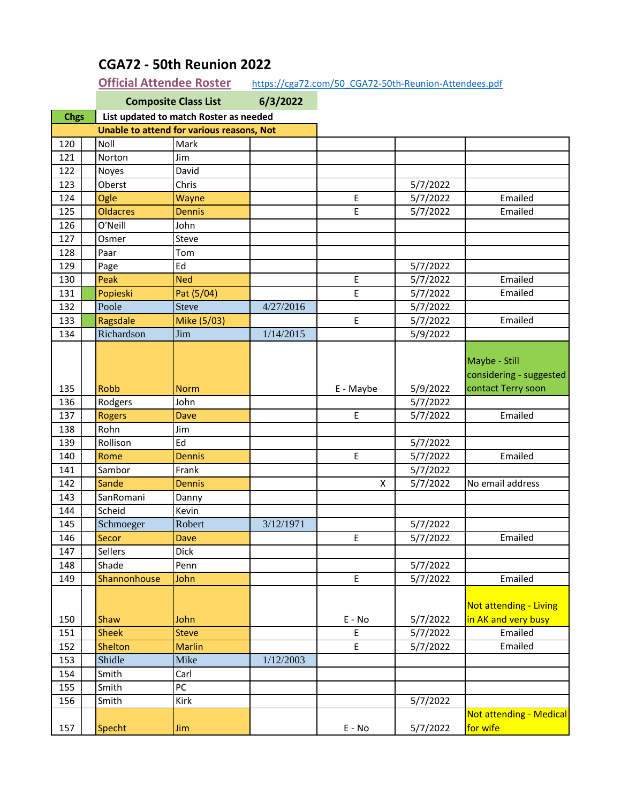|                                           | <b>Composite Class List</b><br>6/3/2022 |                                        |           |                                            |          |                         |
|-------------------------------------------|-----------------------------------------|----------------------------------------|-----------|--------------------------------------------|----------|-------------------------|
| <b>Chgs</b>                               |                                         | List updated to match Roster as needed |           |                                            |          |                         |
| Unable to attend for various reasons, Not |                                         |                                        |           |                                            |          |                         |
| 120                                       | Noll                                    | Mark                                   |           |                                            |          |                         |
| 121                                       | Norton                                  | Jim                                    |           |                                            |          |                         |
| 122                                       | Noyes                                   | David                                  |           |                                            |          |                         |
| 123                                       | Oberst                                  | Chris                                  |           |                                            | 5/7/2022 |                         |
| 124                                       | Ogle                                    | Wayne                                  |           | E                                          | 5/7/2022 | Emailed                 |
| 125                                       | <b>Oldacres</b>                         | <b>Dennis</b>                          |           | E.                                         | 5/7/2022 | Emailed                 |
| 126                                       | O'Neill                                 | John                                   |           |                                            |          |                         |
| 127                                       | Osmer                                   | Steve                                  |           |                                            |          |                         |
| 128                                       | Paar                                    | Tom                                    |           |                                            |          |                         |
| 129                                       | Page                                    | Ed                                     |           |                                            | 5/7/2022 |                         |
| 130                                       | Peak                                    | <b>Ned</b>                             |           | E                                          | 5/7/2022 | Emailed                 |
| 131                                       | Popieski                                | Pat (5/04)                             |           | E                                          | 5/7/2022 | Emailed                 |
| 132                                       | Poole                                   | <b>Steve</b>                           | 4/27/2016 |                                            | 5/7/2022 |                         |
| 133                                       | Ragsdale                                | Mike (5/03)                            |           | $\mathsf{E}$                               | 5/7/2022 | Emailed                 |
| 134                                       | Richardson                              | Jim                                    | 1/14/2015 |                                            | 5/9/2022 |                         |
|                                           |                                         |                                        |           |                                            |          |                         |
|                                           |                                         |                                        |           |                                            |          | Maybe - Still           |
|                                           |                                         |                                        |           |                                            |          | considering - suggested |
| 135                                       | <b>Robb</b>                             | <b>Norm</b>                            |           | E - Maybe                                  | 5/9/2022 | contact Terry soon      |
| 136                                       | Rodgers                                 | John                                   |           |                                            | 5/7/2022 |                         |
| 137                                       | <b>Rogers</b>                           | <b>Dave</b>                            |           | E                                          | 5/7/2022 | Emailed                 |
| 138                                       | Rohn                                    | Jim                                    |           |                                            |          |                         |
| 139                                       | Rollison                                | Ed                                     |           |                                            | 5/7/2022 |                         |
| 140                                       | Rome                                    | <b>Dennis</b>                          |           | E                                          | 5/7/2022 | Emailed                 |
| 141                                       | Sambor                                  | Frank                                  |           |                                            | 5/7/2022 |                         |
| 142                                       | Sande                                   | <b>Dennis</b>                          |           | X                                          | 5/7/2022 | No email address        |
| 143                                       | SanRomani                               | Danny                                  |           |                                            |          |                         |
| 144                                       | Scheid                                  | Kevin                                  |           |                                            |          |                         |
| 145                                       | Schmoeger                               | Robert                                 | 3/12/1971 |                                            | 5/7/2022 |                         |
| 146                                       | Secor                                   | Dave                                   |           | E                                          | 5/7/2022 | Emailed                 |
| 147                                       | Sellers                                 | Dick                                   |           |                                            |          |                         |
| 148                                       | Shade                                   | Penn                                   |           |                                            | 5/7/2022 |                         |
| 149                                       | Shannonhouse                            | John                                   |           | $\mathsf{E}% _{0}\left( \mathsf{E}\right)$ | 5/7/2022 | Emailed                 |
|                                           |                                         |                                        |           |                                            |          |                         |
|                                           |                                         |                                        |           |                                            |          | Not attending - Living  |
| 150                                       | Shaw                                    | John                                   |           | E - No                                     | 5/7/2022 | in AK and very busy     |
| 151                                       | <b>Sheek</b>                            | <b>Steve</b>                           |           | E                                          | 5/7/2022 | Emailed                 |
| 152                                       | Shelton                                 | <b>Marlin</b>                          |           | E                                          | 5/7/2022 | Emailed                 |
| 153                                       | Shidle                                  | Mike                                   | 1/12/2003 |                                            |          |                         |
| 154                                       | Smith                                   | Carl                                   |           |                                            |          |                         |
| 155                                       | Smith                                   | PC                                     |           |                                            |          |                         |
| 156                                       | Smith                                   | Kirk                                   |           |                                            | 5/7/2022 |                         |
|                                           |                                         |                                        |           |                                            |          | Not attending - Medical |
| 157                                       | Specht                                  | Jim                                    |           | $E - No$                                   | 5/7/2022 | for wife                |